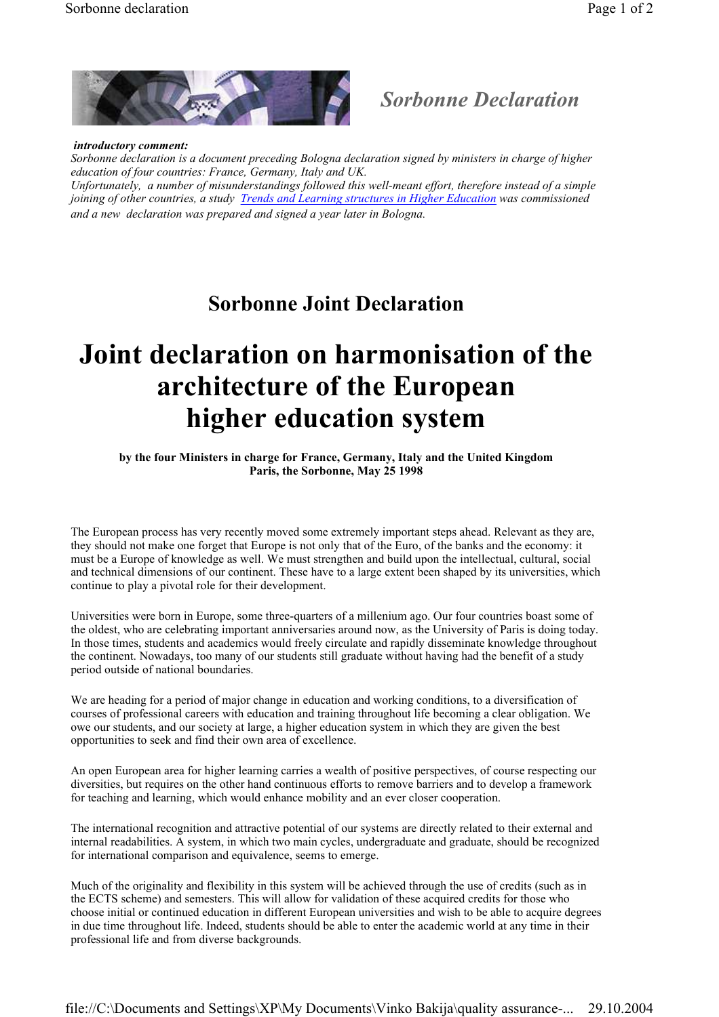

## Sorbonne Declaration

 introductory comment: Sorbonne declaration is a document preceding Bologna declaration signed by ministers in charge of higher education of four countries: France, Germany, Italy and UK. Unfortunately, a number of misunderstandings followed this well-meant effort, therefore instead of a simple joining of other countries, a study Trends and Learning structures in Higher Education was commissioned and a new declaration was prepared and signed a year later in Bologna.

## Sorbonne Joint Declaration

## Joint declaration on harmonisation of the architecture of the European higher education system

by the four Ministers in charge for France, Germany, Italy and the United Kingdom Paris, the Sorbonne, May 25 1998

The European process has very recently moved some extremely important steps ahead. Relevant as they are, they should not make one forget that Europe is not only that of the Euro, of the banks and the economy: it must be a Europe of knowledge as well. We must strengthen and build upon the intellectual, cultural, social and technical dimensions of our continent. These have to a large extent been shaped by its universities, which continue to play a pivotal role for their development.

Universities were born in Europe, some three-quarters of a millenium ago. Our four countries boast some of the oldest, who are celebrating important anniversaries around now, as the University of Paris is doing today. In those times, students and academics would freely circulate and rapidly disseminate knowledge throughout the continent. Nowadays, too many of our students still graduate without having had the benefit of a study period outside of national boundaries.

We are heading for a period of major change in education and working conditions, to a diversification of courses of professional careers with education and training throughout life becoming a clear obligation. We owe our students, and our society at large, a higher education system in which they are given the best opportunities to seek and find their own area of excellence.

An open European area for higher learning carries a wealth of positive perspectives, of course respecting our diversities, but requires on the other hand continuous efforts to remove barriers and to develop a framework for teaching and learning, which would enhance mobility and an ever closer cooperation.

The international recognition and attractive potential of our systems are directly related to their external and internal readabilities. A system, in which two main cycles, undergraduate and graduate, should be recognized for international comparison and equivalence, seems to emerge.

Much of the originality and flexibility in this system will be achieved through the use of credits (such as in the ECTS scheme) and semesters. This will allow for validation of these acquired credits for those who choose initial or continued education in different European universities and wish to be able to acquire degrees in due time throughout life. Indeed, students should be able to enter the academic world at any time in their professional life and from diverse backgrounds.